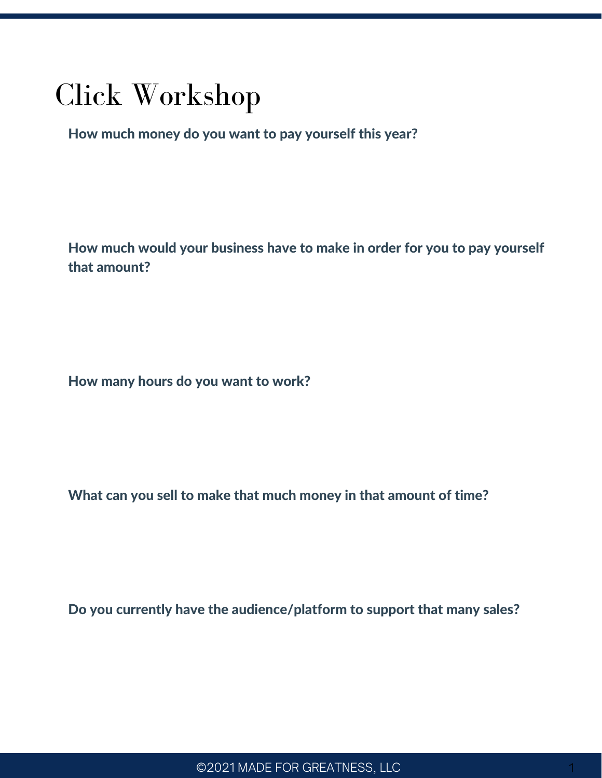## Click Workshop

How much money do you want to pay yourself this year?

How much would your business have to make in order for you to pay yourself that amount?

How many hours do you want to work?

What can you sell to make that much money in that amount of time?

Do you currently have the audience/platform to support that many sales?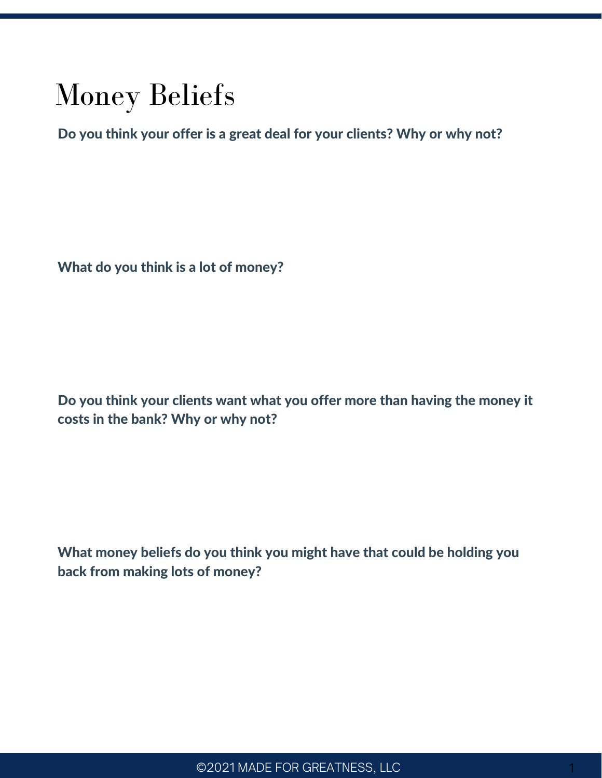## Money Beliefs

Do you think your offer is a great deal for your clients? Why or why not?

What do you think is a lot of money?

Do you think your clients want what you offer more than having the money it costs in the bank? Why or why not?

What money beliefs do you think you might have that could be holding you back from making lots of money?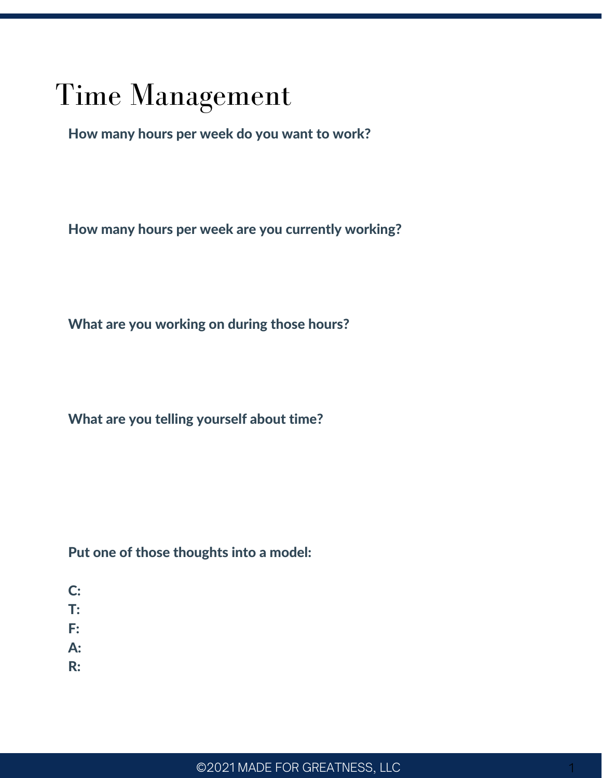# Time Management

How many hours per week do you want to work?

How many hours per week are you currently working?

What are you working on during those hours?

What are you telling yourself about time?

Put one of those thoughts into a model:

- C:
- T:
- F:
- A:
- R: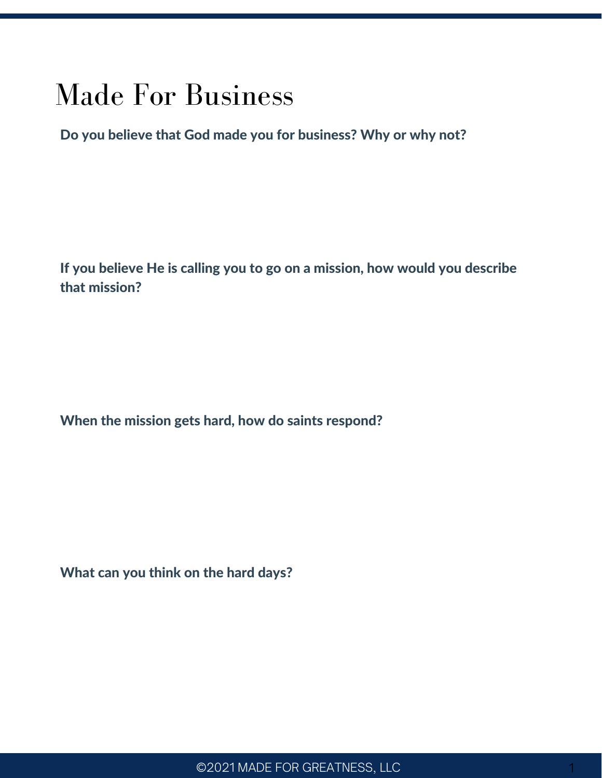### Made For Business

Do you believe that God made you for business? Why or why not?

If you believe He is calling you to go on a mission, how would you describe that mission?

When the mission gets hard, how do saints respond?

What can you think on the hard days?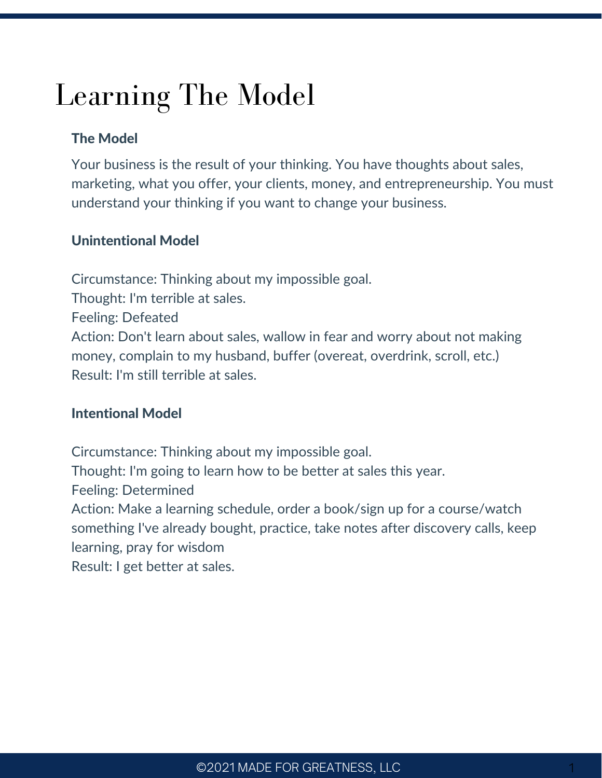# Learning The Model

### The Model

Your business is the result of your thinking. You have thoughts about sales, marketing, what you offer, your clients, money, and entrepreneurship. You must understand your thinking if you want to change your business.

### Unintentional Model

Circumstance: Thinking about my impossible goal. Thought: I'm terrible at sales. Feeling: Defeated Action: Don't learn about sales, wallow in fear and worry about not making money, complain to my husband, buffer (overeat, overdrink, scroll, etc.) Result: I'm still terrible at sales.

#### Intentional Model

Circumstance: Thinking about my impossible goal. Thought: I'm going to learn how to be better at sales this year. Feeling: Determined Action: Make a learning schedule, order a book/sign up for a course/watch something I've already bought, practice, take notes after discovery calls, keep learning, pray for wisdom Result: I get better at sales.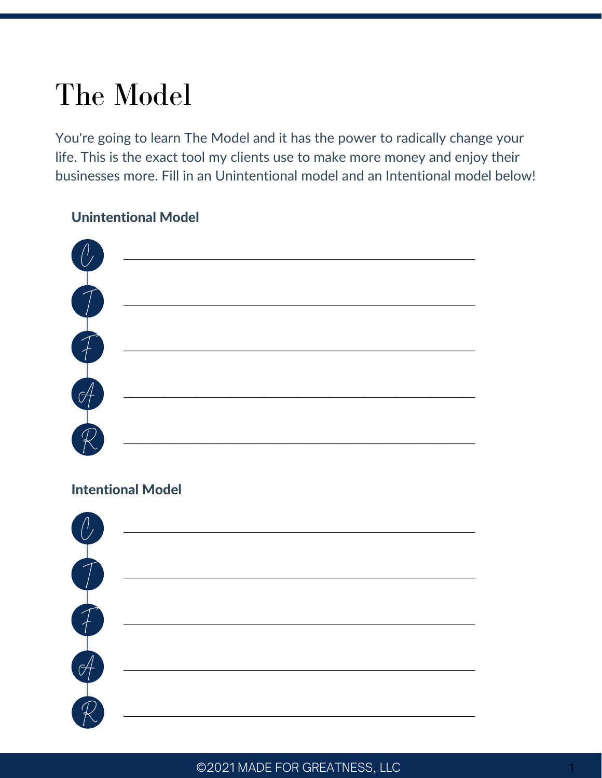# The Model

You're going to learn The Model and it has the power to radically change your life. This is the exact tool my clients use to make more money and enjoy their businesses more. Fill in an Unintentional model and an Intentional model below!

#### **Unintentional Model**

| $\mathcal{C}$                    |  |
|----------------------------------|--|
|                                  |  |
| 丁丁丁                              |  |
| $\frac{1}{\sqrt{1-\frac{1}{2}}}$ |  |
|                                  |  |

### **Intentional Model**

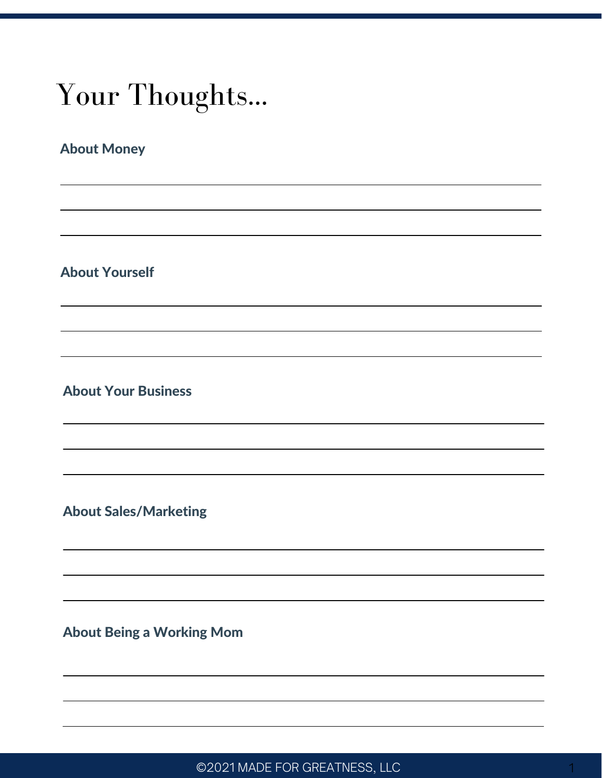# Your Thoughts...

### About Money

About Yourself

About Your Business

About Sales/Marketing

About Being a Working Mom